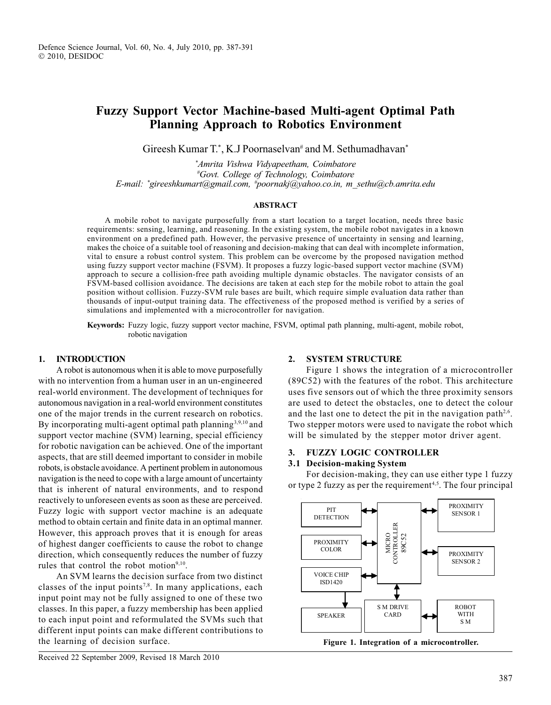# Fuzzy Support Vector Machine-based Multi-agent Optimal Path Planning Approach to Robotics Environment

Gireesh Kumar T.\*, K.J Poornaselvan<sup>#</sup> and M. Sethumadhavan\*

\* Amrita Vishwa Vidyapeetham, Coimbatore # Govt. College of Technology, Coimbatore E-mail: \* gireeshkumart@gmail.com, # poornakj@yahoo.co.in, m\_sethu@cb.amrita.edu

## ABSTRACT

A mobile robot to navigate purposefully from a start location to a target location, needs three basic requirements: sensing, learning, and reasoning. In the existing system, the mobile robot navigates in a known environment on a predefined path. However, the pervasive presence of uncertainty in sensing and learning, makes the choice of a suitable tool of reasoning and decision-making that can deal with incomplete information, vital to ensure a robust control system. This problem can be overcome by the proposed navigation method using fuzzy support vector machine (FSVM). It proposes a fuzzy logic-based support vector machine (SVM) approach to secure a collision-free path avoiding multiple dynamic obstacles. The navigator consists of an FSVM-based collision avoidance. The decisions are taken at each step for the mobile robot to attain the goal position without collision. Fuzzy-SVM rule bases are built, which require simple evaluation data rather than thousands of input-output training data. The effectiveness of the proposed method is verified by a series of simulations and implemented with a microcontroller for navigation.

Keywords: Fuzzy logic, fuzzy support vector machine, FSVM, optimal path planning, multi-agent, mobile robot, robotic navigation

#### 1. INTRODUCTION

A robot is autonomous when it is able to move purposefully with no intervention from a human user in an un-engineered real-world environment. The development of techniques for autonomous navigation in a real-world environment constitutes one of the major trends in the current research on robotics. By incorporating multi-agent optimal path planning<sup>3,9,10</sup> and support vector machine (SVM) learning, special efficiency for robotic navigation can be achieved. One of the important aspects, that are still deemed important to consider in mobile robots, is obstacle avoidance. A pertinent problem in autonomous navigation is the need to cope with a large amount of uncertainty that is inherent of natural environments, and to respond reactively to unforeseen events as soon as these are perceived. Fuzzy logic with support vector machine is an adequate method to obtain certain and finite data in an optimal manner. However, this approach proves that it is enough for areas of highest danger coefficients to cause the robot to change direction, which consequently reduces the number of fuzzy rules that control the robot motion<sup>9,10</sup>.

An SVM learns the decision surface from two distinct classes of the input points<sup>7,8</sup>. In many applications, each input point may not be fully assigned to one of these two classes. In this paper, a fuzzy membership has been applied to each input point and reformulated the SVMs such that different input points can make different contributions to the learning of decision surface.

#### 2. SYSTEM STRUCTURE

Figure 1 shows the integration of a microcontroller (89C52) with the features of the robot. This architecture uses five sensors out of which the three proximity sensors are used to detect the obstacles, one to detect the colour and the last one to detect the pit in the navigation path<sup>2,6</sup>. Two stepper motors were used to navigate the robot which will be simulated by the stepper motor driver agent.

## 3. FUZZY LOGIC CONTROLLER

# 3.1 Decision-making System

For decision-making, they can use either type 1 fuzzy or type 2 fuzzy as per the requirement<sup>4,5</sup>. The four principal



Figure 1. Integration of a microcontroller.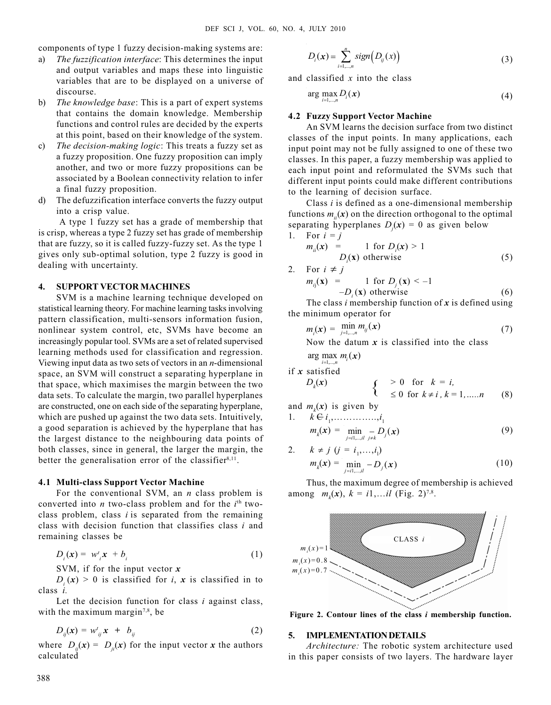components of type 1 fuzzy decision-making systems are:

- a) The fuzzification interface: This determines the input and output variables and maps these into linguistic variables that are to be displayed on a universe of discourse.
- b) The knowledge base: This is a part of expert systems that contains the domain knowledge. Membership functions and control rules are decided by the experts at this point, based on their knowledge of the system.
- c) The decision-making logic: This treats a fuzzy set as a fuzzy proposition. One fuzzy proposition can imply another, and two or more fuzzy propositions can be associated by a Boolean connectivity relation to infer a final fuzzy proposition.
- d) The defuzzification interface converts the fuzzy output into a crisp value.

A type 1 fuzzy set has a grade of membership that is crisp, whereas a type 2 fuzzy set has grade of membership that are fuzzy, so it is called fuzzy-fuzzy set. As the type 1 gives only sub-optimal solution, type 2 fuzzy is good in dealing with uncertainty.

### 4. SUPPORT VECTOR MACHINES

SVM is a machine learning technique developed on statistical learning theory. For machine learning tasks involving pattern classification, multi-sensors information fusion, nonlinear system control, etc, SVMs have become an increasingly popular tool. SVMs are a set of related supervised learning methods used for classification and regression. Viewing input data as two sets of vectors in an  $n$ -dimensional space, an SVM will construct a separating hyperplane in that space, which maximises the margin between the two data sets. To calculate the margin, two parallel hyperplanes are constructed, one on each side of the separating hyperplane, which are pushed up against the two data sets. Intuitively, a good separation is achieved by the hyperplane that has the largest distance to the neighbouring data points of both classes, since in general, the larger the margin, the better the generalisation error of the classifier<sup>8,11</sup>.

#### 4.1 Multi-class Support Vector Machine

For the conventional SVM, an  $n$  class problem is converted into *n* two-class problem and for the  $i<sup>th</sup>$  twoclass problem, class  $i$  is separated from the remaining class with decision function that classifies class  $i$  and remaining classes be

$$
D_i(\mathbf{x}) = w^i_{\;i} \mathbf{x} + b_i \tag{1}
$$

SVM, if for the input vector  $x$ 

 $D_i(x) > 0$  is classified for *i*, x is classified in to class i.

Let the decision function for class  $i$  against class, with the maximum margin<sup>7,8</sup>, be

$$
D_{ij}(\mathbf{x}) = w_{ij}^t \mathbf{x} + b_{ij} \tag{2}
$$

where  $D_{ij}(x) = D_{ji}(x)$  for the input vector x the authors calculated

$$
D_i(\mathbf{x}) = \sum_{i=1,\dots,n}^n sign(D_{ij}(\mathbf{x}))
$$
\n(3)

and classified  $x$  into the class

$$
\arg\max_{i=1,\dots,n} D_i(\mathbf{x}) \tag{4}
$$

#### 4.2 Fuzzy Support Vector Machine

An SVM learns the decision surface from two distinct classes of the input points. In many applications, each input point may not be fully assigned to one of these two classes. In this paper, a fuzzy membership was applied to each input point and reformulated the SVMs such that different input points could make different contributions to the learning of decision surface.

Class  $i$  is defined as a one-dimensional membership functions  $m(x)$  on the direction orthogonal to the optimal separating hyperplanes  $D_j(x) = 0$  as given below

1. For 
$$
i = j
$$
  
\n
$$
m_{ii}(x) = 1 \text{ for } D_i(x) > 1
$$
\n
$$
D_i(x) \text{ otherwise}
$$
\n(5)

2. For  $i \neq j$  $m_{ii}(\mathbf{x}) =$ 1 for  $D_i(x) < -1$  $-D_i(\mathbf{x})$  otherwise (6)

The class *i* membership function of  $x$  is defined using the minimum operator for

$$
m_i(\mathbf{x}) = \min_{j=1,\dots,n} m_{ij}(\mathbf{x}) \tag{7}
$$

Now the datum  $x$  is classified into the class

$$
\arg\max_{i=1,\dots,n} m_i(\mathbf{x})
$$

if x satisfied

$$
D_k(\mathbf{x}) \qquad \qquad \left\{ \begin{array}{ll} & > 0 \quad \text{for} \quad k = i, \\ & \leq 0 \quad \text{for} \quad k \neq i, \ k = 1, \dots, n \end{array} \right. \tag{8}
$$

and  $m_k(x)$  is given by

1. 
$$
k \in i_1, \dots, i_1
$$
  
\n $m_k(x) = \min_{j=1, \dots, d} \sum_{j \neq k} D_j(x)$  (9)

2. 
$$
k \neq j \ (j = i_1, ..., i_l)
$$
  
\n
$$
m_k(\mathbf{x}) = \min_{j=1, ..., i_l} -D_j(\mathbf{x})
$$
\n(10)

Thus, the maximum degree of membership is achieved among  $m_k(x)$ ,  $k = i1,...i$  (Fig. 2)<sup>7,8</sup>.



Figure 2. Contour lines of the class i membership function.

#### 5. IMPLEMENTATION DETAILS

Architecture: The robotic system architecture used in this paper consists of two layers. The hardware layer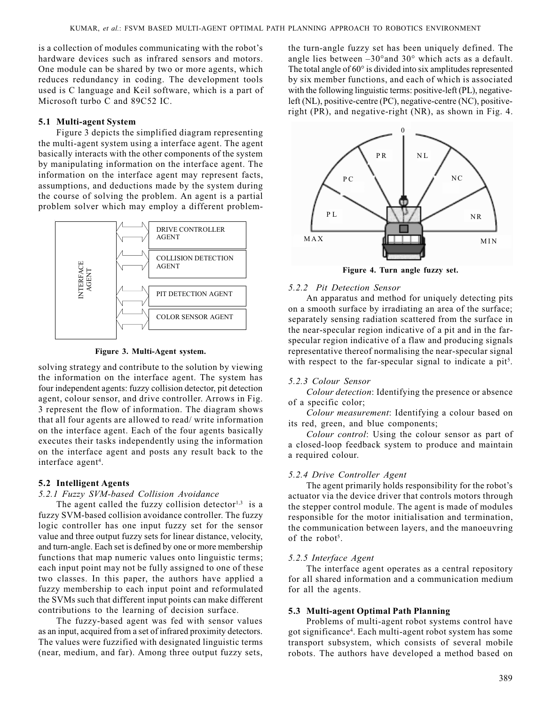is a collection of modules communicating with the robot's hardware devices such as infrared sensors and motors. One module can be shared by two or more agents, which reduces redundancy in coding. The development tools used is C language and Keil software, which is a part of Microsoft turbo C and 89C52 IC.

#### 5.1 Multi-agent System

Figure 3 depicts the simplified diagram representing the multi-agent system using a interface agent. The agent basically interacts with the other components of the system by manipulating information on the interface agent. The information on the interface agent may represent facts, assumptions, and deductions made by the system during the course of solving the problem. An agent is a partial problem solver which may employ a different problem-





solving strategy and contribute to the solution by viewing the information on the interface agent. The system has four independent agents: fuzzy collision detector, pit detection agent, colour sensor, and drive controller. Arrows in Fig. 3 represent the flow of information. The diagram shows that all four agents are allowed to read/ write information on the interface agent. Each of the four agents basically executes their tasks independently using the information on the interface agent and posts any result back to the interface agent<sup>4</sup>.

#### 5.2 Intelligent Agents

#### 5.2.1 Fuzzy SVM-based Collision Avoidance

The agent called the fuzzy collision detector<sup>1,3</sup> is a fuzzy SVM-based collision avoidance controller. The fuzzy logic controller has one input fuzzy set for the sensor value and three output fuzzy sets for linear distance, velocity, and turn-angle. Each set is defined by one or more membership functions that map numeric values onto linguistic terms; each input point may not be fully assigned to one of these two classes. In this paper, the authors have applied a fuzzy membership to each input point and reformulated the SVMs such that different input points can make different contributions to the learning of decision surface.

The fuzzy-based agent was fed with sensor values as an input, acquired from a set of infrared proximity detectors. The values were fuzzified with designated linguistic terms (near, medium, and far). Among three output fuzzy sets, the turn-angle fuzzy set has been uniquely defined. The angle lies between  $-30^{\circ}$  and  $30^{\circ}$  which acts as a default. The total angle of 60° is divided into six amplitudes represented by six member functions, and each of which is associated with the following linguistic terms: positive-left (PL), negativeleft (NL), positive-centre (PC), negative-centre (NC), positiveright (PR), and negative-right (NR), as shown in Fig. 4.



Figure 4. Turn angle fuzzy set.

#### 5.2.2 Pit Detection Sensor

An apparatus and method for uniquely detecting pits on a smooth surface by irradiating an area of the surface; separately sensing radiation scattered from the surface in the near-specular region indicative of a pit and in the farspecular region indicative of a flaw and producing signals representative thereof normalising the near-specular signal with respect to the far-specular signal to indicate a pit<sup>5</sup>.

#### 5.2.3 Colour Sensor

Colour detection: Identifying the presence or absence of a specific color;

Colour measurement: Identifying a colour based on its red, green, and blue components;

Colour control: Using the colour sensor as part of a closed-loop feedback system to produce and maintain a required colour.

#### 5.2.4 Drive Controller Agent

The agent primarily holds responsibility for the robot's actuator via the device driver that controls motors through the stepper control module. The agent is made of modules responsible for the motor initialisation and termination, the communication between layers, and the manoeuvring of the robot<sup>5</sup>.

## 5.2.5 Interface Agent

The interface agent operates as a central repository for all shared information and a communication medium for all the agents.

#### 5.3 Multi-agent Optimal Path Planning

Problems of multi-agent robot systems control have got significance4 . Each multi-agent robot system has some transport subsystem, which consists of several mobile robots. The authors have developed a method based on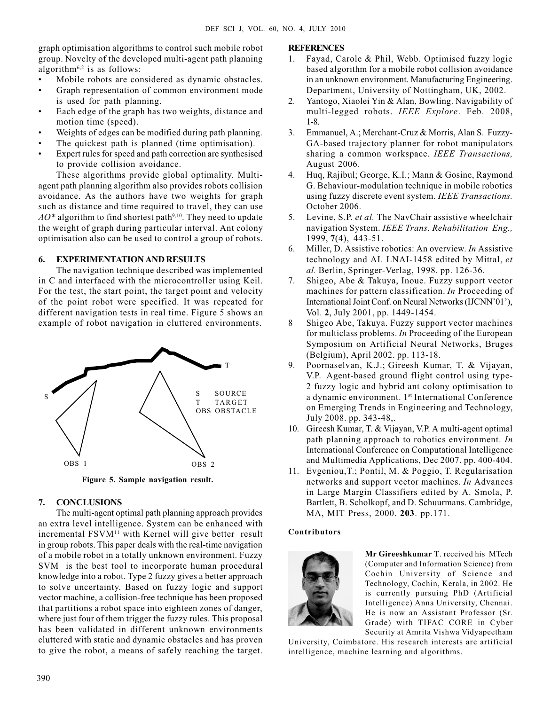graph optimisation algorithms to control such mobile robot group. Novelty of the developed multi-agent path planning algorithm<sup>6,2</sup> is as follows:

- Mobile robots are considered as dynamic obstacles.
- Graph representation of common environment mode is used for path planning.
- Each edge of the graph has two weights, distance and motion time (speed).
- Weights of edges can be modified during path planning.
- The quickest path is planned (time optimisation).
- Expert rules for speed and path correction are synthesised to provide collision avoidance.

These algorithms provide global optimality. Multiagent path planning algorithm also provides robots collision avoidance. As the authors have two weights for graph such as distance and time required to travel, they can use  $AO*$  algorithm to find shortest path<sup>9,10</sup>. They need to update the weight of graph during particular interval. Ant colony optimisation also can be used to control a group of robots.

## 6. EXPERIMENTATION AND RESULTS

The navigation technique described was implemented in C and interfaced with the microcontroller using Keil. For the test, the start point, the target point and velocity of the point robot were specified. It was repeated for different navigation tests in real time. Figure 5 shows an example of robot navigation in cluttered environments.



Figure 5. Sample navigation result.

# 7. CONCLUSIONS

The multi-agent optimal path planning approach provides an extra level intelligence. System can be enhanced with incremental FSVM<sup>11</sup> with Kernel will give better result in group robots. This paper deals with the real-time navigation of a mobile robot in a totally unknown environment. Fuzzy SVM is the best tool to incorporate human procedural knowledge into a robot. Type 2 fuzzy gives a better approach to solve uncertainty. Based on fuzzy logic and support vector machine, a collision-free technique has been proposed that partitions a robot space into eighteen zones of danger, where just four of them trigger the fuzzy rules. This proposal has been validated in different unknown environments cluttered with static and dynamic obstacles and has proven to give the robot, a means of safely reaching the target.

# **REFERENCES**

- 1. Fayad, Carole & Phil, Webb. Optimised fuzzy logic based algorithm for a mobile robot collision avoidance in an unknown environment. Manufacturing Engineering. Department, University of Nottingham, UK, 2002.
- 2. Yantogo, Xiaolei Yin & Alan, Bowling. Navigability of multi-legged robots. IEEE Explore. Feb. 2008, 1-8.
- 3. Emmanuel, A.; Merchant-Cruz & Morris, Alan S. Fuzzy-GA-based trajectory planner for robot manipulators sharing a common workspace. IEEE Transactions, August 2006.
- 4. Huq, Rajibul; George, K.I.; Mann & Gosine, Raymond G. Behaviour-modulation technique in mobile robotics using fuzzy discrete event system. IEEE Transactions. October 2006.
- 5. Levine, S.P. et al. The NavChair assistive wheelchair navigation System. IEEE Trans. Rehabilitation Eng., 1999, 7(4), 443-51.
- 6. Miller, D. Assistive robotics: An overview. In Assistive technology and AI. LNAI-1458 edited by Mittal, et al. Berlin, Springer-Verlag, 1998. pp. 126-36.
- 7. Shigeo, Abe & Takuya, Inoue. Fuzzy support vector machines for pattern classification. In Proceeding of International Joint Conf. on Neural Networks (IJCNN'01'), Vol. 2, July 2001, pp. 1449-1454.
- 8 Shigeo Abe, Takuya. Fuzzy support vector machines for multiclass problems. In Proceeding of the European Symposium on Artificial Neural Networks, Bruges (Belgium), April 2002. pp. 113-18.
- 9. Poornaselvan, K.J.; Gireesh Kumar, T. & Vijayan, V.P. Agent-based ground flight control using type-2 fuzzy logic and hybrid ant colony optimisation to a dynamic environment. 1st International Conference on Emerging Trends in Engineering and Technology, July 2008. pp. 343-48,.
- 10. Gireesh Kumar, T. & Vijayan, V.P. A multi-agent optimal path planning approach to robotics environment. In International Conference on Computational Intelligence and Multimedia Applications, Dec 2007. pp. 400-404.
- 11. Evgeniou,T.; Pontil, M. & Poggio, T. Regularisation networks and support vector machines. In Advances in Large Margin Classifiers edited by A. Smola, P. Bartlett, B. Scholkopf, and D. Schuurmans. Cambridge, MA, MIT Press, 2000. 203. pp.171.

#### Contributors



Mr Gireeshkumar T. received his MTech (Computer and Information Science) from Cochin University of Science and Technology, Cochin, Kerala, in 2002. He is currently pursuing PhD (Artificial Intelligence) Anna University, Chennai. He is now an Assistant Professor (Sr. Grade) with TIFAC CORE in Cyber Security at Amrita Vishwa Vidyapeetham

University, Coimbatore. His research interests are artificial intelligence, machine learning and algorithms.